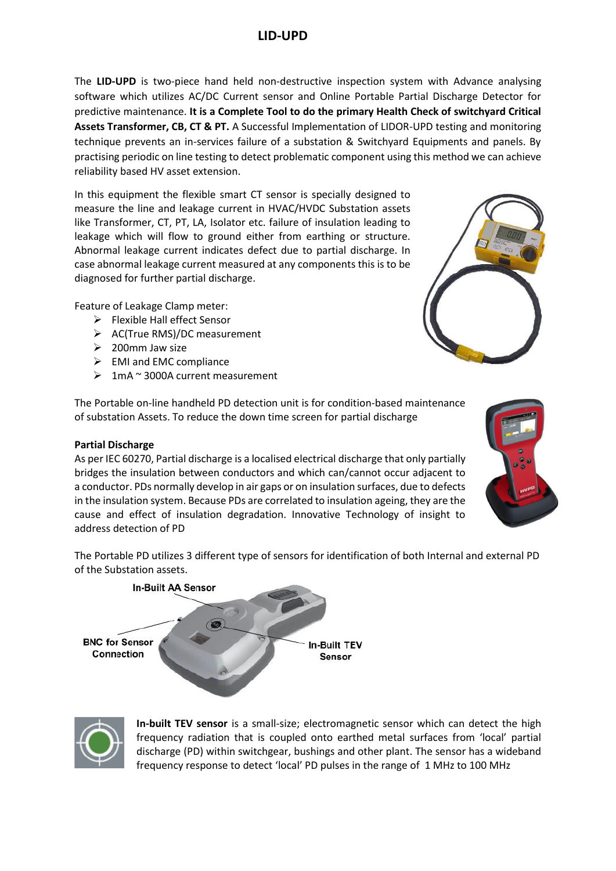# **LID-UPD**

The **LID-UPD** is two-piece hand held non-destructive inspection system with Advance analysing software which utilizes AC/DC Current sensor and Online Portable Partial Discharge Detector for predictive maintenance. **It is a Complete Tool to do the primary Health Check of switchyard Critical Assets Transformer, CB, CT & PT.** A Successful Implementation of LIDOR-UPD testing and monitoring technique prevents an in-services failure of a substation & Switchyard Equipments and panels. By practising periodic on line testing to detect problematic component using this method we can achieve reliability based HV asset extension.

In this equipment the flexible smart CT sensor is specially designed to measure the line and leakage current in HVAC/HVDC Substation assets like Transformer, CT, PT, LA, Isolator etc. failure of insulation leading to leakage which will flow to ground either from earthing or structure. Abnormal leakage current indicates defect due to partial discharge. In case abnormal leakage current measured at any components this is to be diagnosed for further partial discharge.

Feature of Leakage Clamp meter:

- $\triangleright$  Flexible Hall effect Sensor
- ➢ AC(True RMS)/DC measurement
- $\geqslant$  200mm Jaw size
- $\triangleright$  EMI and EMC compliance
- $\geq 1$ mA ~ 3000A current measurement

The Portable on-line handheld PD detection unit is for condition-based maintenance of substation Assets. To reduce the down time screen for partial discharge

### **Partial Discharge**

As per IEC 60270, Partial discharge is a localised electrical discharge that only partially bridges the insulation between conductors and which can/cannot occur adjacent to a conductor. PDs normally develop in air gaps or on insulation surfaces, due to defects in the insulation system. Because PDs are correlated to insulation ageing, they are the cause and effect of insulation degradation. Innovative Technology of insight to address detection of PD

The Portable PD utilizes 3 different type of sensors for identification of both Internal and external PD of the Substation assets.





**In-built TEV sensor** is a small-size; electromagnetic sensor which can detect the high frequency radiation that is coupled onto earthed metal surfaces from 'local' partial discharge (PD) within switchgear, bushings and other plant. The sensor has a wideband frequency response to detect 'local' PD pulses in the range of 1 MHz to 100 MHz



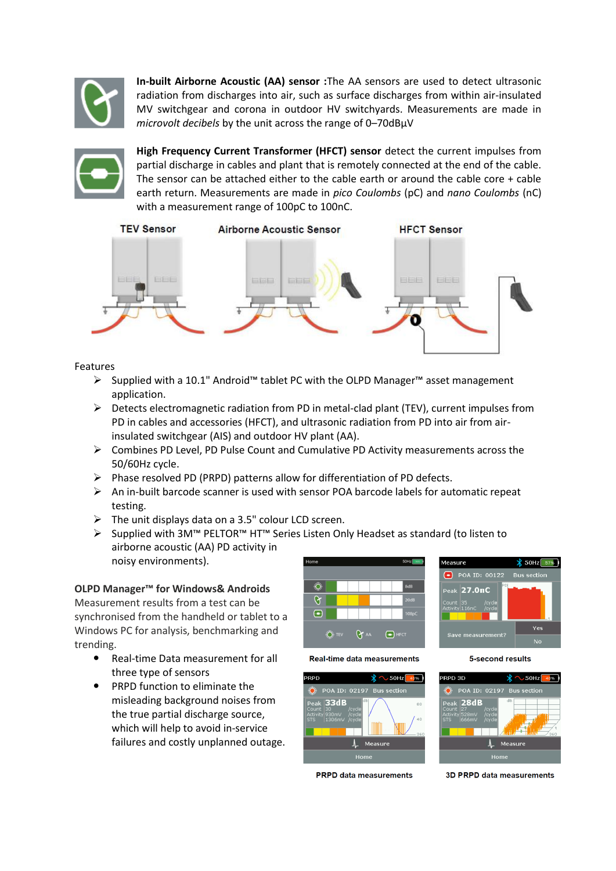

**In-built Airborne Acoustic (AA) sensor :**The AA sensors are used to detect ultrasonic radiation from discharges into air, such as surface discharges from within air-insulated MV switchgear and corona in outdoor HV switchyards. Measurements are made in *microvolt decibels* by the unit across the range of 0–70dBμV



**High Frequency Current Transformer (HFCT) sensor** detect the current impulses from partial discharge in cables and plant that is remotely connected at the end of the cable. The sensor can be attached either to the cable earth or around the cable core + cable earth return. Measurements are made in *pico Coulombs* (pC) and *nano Coulombs* (nC) with a measurement range of 100pC to 100nC.



### Features

- ➢ Supplied with a 10.1" Android™ tablet PC with the OLPD Manager™ asset management application.
- $\triangleright$  Detects electromagnetic radiation from PD in metal-clad plant (TEV), current impulses from PD in cables and accessories (HFCT), and ultrasonic radiation from PD into air from airinsulated switchgear (AIS) and outdoor HV plant (AA).
- $\triangleright$  Combines PD Level, PD Pulse Count and Cumulative PD Activity measurements across the 50/60Hz cycle.
- ➢ Phase resolved PD (PRPD) patterns allow for differentiation of PD defects.
- ➢ An in-built barcode scanner is used with sensor POA barcode labels for automatic repeat testing.
- $\triangleright$  The unit displays data on a 3.5" colour LCD screen.
- ➢ Supplied with 3M™ PELTOR™ HT™ Series Listen Only Headset as standard (to listen to airborne acoustic (AA) PD activity in noisy environments).

# **OLPD Manager™ for Windows& Androids**

Measurement results from a test can be synchronised from the handheld or tablet to a Windows PC for analysis, benchmarking and trending.

- Real-time Data measurement for all three type of sensors
- PRPD function to eliminate the misleading background noises from the true partial discharge source, which will help to avoid in-service failures and costly unplanned outage.







**PRPD** data measurements

3D PRPD data measurements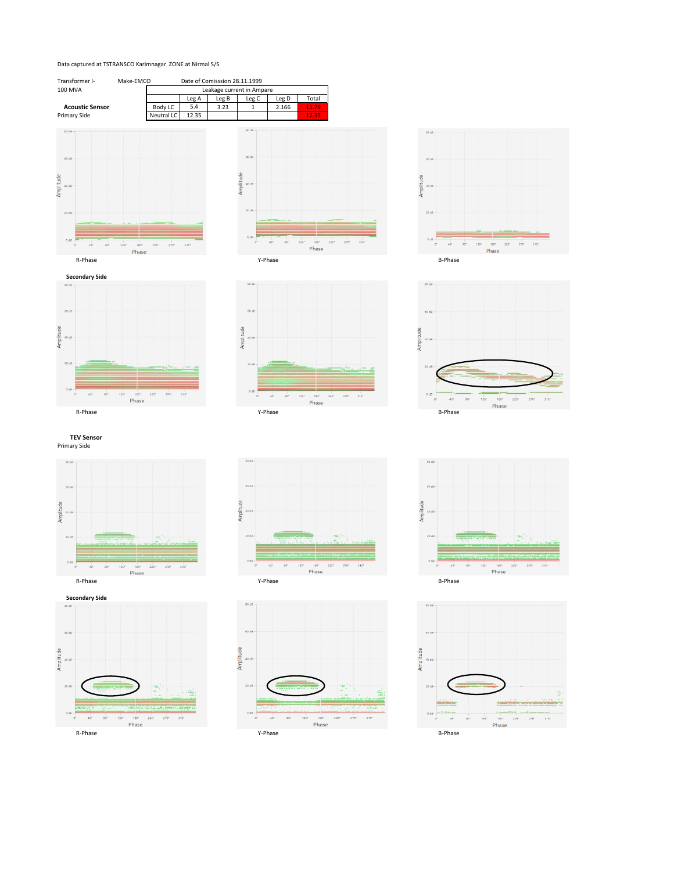#### Data captured at TSTRANSCO Karimnagar ZONE at Nirmal S/S













Primary Side **TEV Sensor**







 $\frac{1}{185}$ ,  $\frac{1}{180}$ ,  $\frac{1}{225}$ ,  $\frac{1}{270}$ 

 $315"$ 

Amplitude

40.88

 $45"$ 



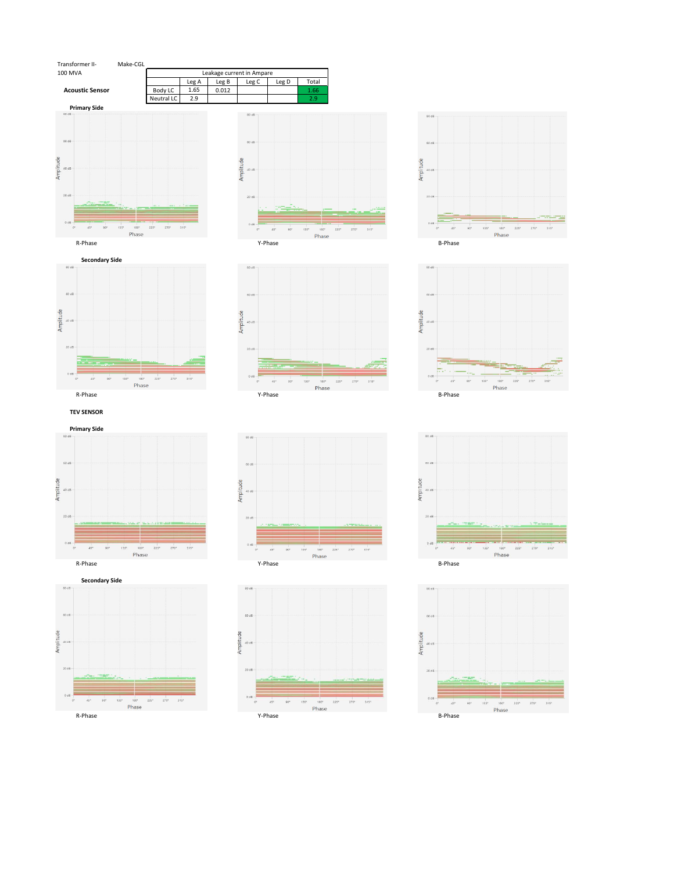



**Primary Side** 60 st Amplitude 40 dB  $20B$  $45"$  $90^{\circ}$  $\begin{array}{cccc} 135^4 & 180^6 & 225^6 & 270^6 & 315^6 \\ \text{Phase} & & & & \end{array}$